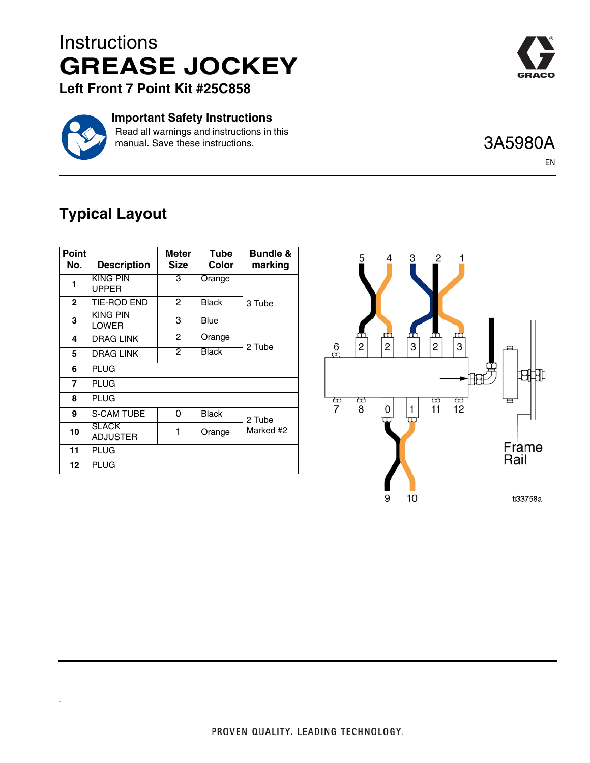## **Instructions GREASE JOCKEY**



**Left Front 7 Point Kit #25C858**



.

**Important Safety Instructions**

Read all warnings and instructions in this manual. Save these instructions.

## 3A5980A

EN

## **Typical Layout**

| <b>Point</b><br>No. | <b>Description</b>              | Meter<br><b>Size</b> | Tube<br>Color | <b>Bundle &amp;</b><br>marking |
|---------------------|---------------------------------|----------------------|---------------|--------------------------------|
| 1                   | <b>KING PIN</b><br><b>UPPER</b> | 3                    | Orange        | 3 Tube                         |
| $\mathbf{2}$        | <b>TIE-ROD END</b>              | $\mathbf{P}$         | <b>Black</b>  |                                |
| 3                   | <b>KING PIN</b><br><b>LOWER</b> | 3                    | Blue          |                                |
| 4                   | <b>DRAG LINK</b>                | 2                    | Orange        | 2 Tube                         |
| 5                   | <b>DRAG LINK</b>                | $\overline{2}$       | <b>Black</b>  |                                |
| 6                   | <b>PLUG</b>                     |                      |               |                                |
| $\overline{7}$      | <b>PLUG</b>                     |                      |               |                                |
| 8                   | <b>PLUG</b>                     |                      |               |                                |
| 9                   | <b>S-CAM TUBE</b>               | 0                    | <b>Black</b>  | 2 Tube<br>Marked #2            |
| 10                  | <b>SLACK</b><br><b>ADJUSTER</b> | 1                    | Orange        |                                |
| 11                  | PLUG                            |                      |               |                                |
| 12 <sup>2</sup>     | <b>PLUG</b>                     |                      |               |                                |